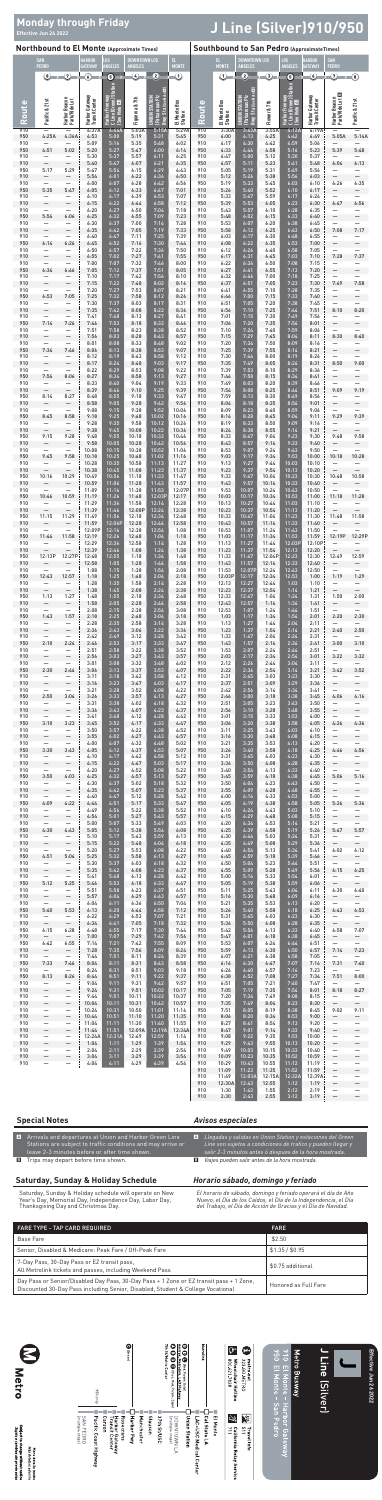#### **Northbound to El Monte (Approximate Times)**

### **Southbound to San Pedro (ApproximateTimes)**

|                   | <b>SAN</b><br><b>PEDRO</b>                                         |                                                              | <b>HARBOR</b><br><b>GATEWAY</b>  | <b>LOS</b><br><b>ANGELES</b>             | <b>DOWNTOWN LOS</b><br><b>ANGELES</b> |                                                          | п.<br><b>MONTE</b>             |                   | EL.<br><b>MONTE</b>        | DOWNTOWN LOS<br>ANGELES                                  |                          | LOS<br><b>ANGELES</b>                                             | <b>HARBOR</b><br><b>GATEWAY</b>  | <b>SAN</b><br><b>PEDRO</b>                                    |                                                              |
|-------------------|--------------------------------------------------------------------|--------------------------------------------------------------|----------------------------------|------------------------------------------|---------------------------------------|----------------------------------------------------------|--------------------------------|-------------------|----------------------------|----------------------------------------------------------|--------------------------|-------------------------------------------------------------------|----------------------------------|---------------------------------------------------------------|--------------------------------------------------------------|
|                   | $\bullet$                                                          | $\Omega$                                                     | $\epsilon$                       | 6                                        | $\left( 4\right)$                     | $\overline{2}$                                           | $\textcircled{\scriptsize{1}}$ |                   | $\left( \mathbf{1}\right)$ | $\overline{2}$                                           | $\Omega$                 | 6                                                                 | $\epsilon$                       | $\left( \overline{7}\right)$                                  | $\overline{\phantom{a}}$ 8                                   |
|                   |                                                                    |                                                              |                                  | Harbor Freeway<br>C Line (Green) Station |                                       |                                                          |                                |                   |                            |                                                          |                          | Harbor Freeway<br>C Line (Green) Station<br>(See Note <b>EX</b> ) |                                  |                                                               |                                                              |
| Route             | Pacific & 21st                                                     | Harbor Beacon<br>Park/Ride Lot                               | Harbor Gateway<br>Transit Center | (See Note <b>E</b>                       | Figueroa & 7th                        | Bwy Sta (See Note El)<br>Patsarouas Plz<br>UNION STATION | El Monte Bus<br>Station        | Route             | El Monte Bus<br>Station    | Bwy Sta (See Note EX)<br>Patsarouas Plz<br>UNION STATION | Flower & 7th             |                                                                   | Harbor Gateway<br>Transit Center | Harbor Beacon<br>Park/Ride Lot <b>E3</b>                      | Pacific & 21st                                               |
| 910               | $\overline{\phantom{0}}$                                           | —                                                            | 4:37A                            | 4:44A                                    | 5:03A                                 | 5:15A                                                    | 5:29A                          | 910               | 3:30A                      | 3:43A                                                    | 3:55A                    | 4:12A                                                             | 4:19A                            | $\overline{\phantom{0}}$                                      | $\overline{\phantom{0}}$                                     |
| 950               | 4:25A                                                              | 4:36A                                                        | 4:53                             | 5:00                                     | 5:19                                  | 5:31                                                     | 5:45                           | 950               | 4:00                       | 4:13                                                     | 4:25                     | 4:42                                                              | 4:49                             | 5:05A                                                         | 5:14A                                                        |
| 910               | $\overline{\phantom{0}}$                                           | $\overline{\phantom{0}}$                                     | 5:09                             | 5:16                                     | 5:35                                  | 5:48                                                     | 6:02                           | 910               | 4:17                       | 4:30                                                     | 4:42                     | 4:59                                                              | 5:06                             |                                                               | —                                                            |
| 950               | 4:51                                                               | 5:02                                                         | 5:20                             | 5:27                                     | 5:47                                  | 6:00                                                     | 6:14                           | 950               | 4:33                       | 4:46                                                     | 4:58                     | 5:16                                                              | 5:23                             | 5:39                                                          | 5:48                                                         |
| 910               | $\overline{\phantom{0}}$                                           | $\overline{\phantom{0}}$                                     | 5:30                             | 5:37                                     | 5:57                                  | 6:11                                                     | 6:25                           | 910               | 4:47                       | 5:00                                                     | 5:12                     | 5:30                                                              | 5:37                             | $\overline{\phantom{0}}$                                      | $\overline{\phantom{0}}$                                     |
| 910<br>950        | 5:17                                                               | $\overline{\phantom{0}}$<br>5:29                             | 5:40<br>5:47                     | 5:47<br>5:54                             | 6:07<br>6:15                          | 6:21<br>6:29                                             | 6:35<br>6:43                   | 950<br>910        | 4:57<br>5:05               | 5:11<br>5:19                                             | 5:23<br>5:31             | 5:41<br>5:49                                                      | 5:48<br>5:56                     | 6:04<br>$\overline{\phantom{0}}$                              | 6:13<br>$\overline{\phantom{0}}$<br>$\overline{\phantom{0}}$ |
| 910<br>910<br>950 | $\overline{\phantom{0}}$<br>$\overline{\phantom{0}}$<br>5:35       | $\overline{\phantom{0}}$<br>$\overline{\phantom{0}}$<br>5:47 | 5:54<br>6:00<br>6:05             | 6:01<br>6:07<br>6:12                     | 6:22<br>6:28<br>6:33                  | 6:36<br>6:42<br>6:47                                     | 6:50<br>6:56<br>7:01           | 910<br>950<br>910 | 5:12<br>5:19<br>5:26       | 5:26<br>5:33<br>5:40                                     | 5:38<br>5:45<br>5:52     | 5:56<br>6:03<br>6:10                                              | 6:03<br>6:10<br>6:17             | 6:26<br>—                                                     | 6:35                                                         |
| 910<br>910        | $\overline{\phantom{0}}$<br>—                                      | $\overline{\phantom{0}}$<br>—                                | 6:10<br>6:15                     | 6:17<br>6:22                             | 6:39<br>6:44                          | 6:53<br>6:58                                             | 7:07<br>7:12                   | 910<br>950        | 5:33<br>5:39               | 5:47<br>5:53                                             | 5:59<br>6:05             | 6:17<br>6:23                                                      | 6:24<br>6:30                     | $\overline{\phantom{0}}$<br>6:47                              | $\overline{\phantom{0}}$<br>—<br>6:56                        |
| 910<br>950        | $\overline{\phantom{0}}$<br>5:54                                   | —<br>6:06                                                    | 6:20<br>6:25                     | 6:27<br>6:32                             | 6:50<br>6:55                          | 7:04<br>7:09                                             | 7:18<br>7:23                   | 910<br>910        | 5:43<br>5:48               | 5:57<br>6:02                                             | 6:10<br>6:15             | 6:28<br>6:33                                                      | 6:35<br>6:40                     | $\overline{\phantom{0}}$                                      | $\overline{\phantom{0}}$                                     |
| 910               |                                                                    |                                                              | 6:30                             | 6:37                                     | 7:00                                  | 7:14                                                     | 7:28                           | 910               | 5:53                       | 6:07                                                     | 6:20                     | 6:38                                                              | 6:45                             | $\overline{\phantom{0}}$                                      | $\overline{\phantom{0}}$                                     |
| 910               | $\overline{\phantom{0}}$                                           | $\overline{\phantom{0}}$                                     | 6:35                             | 6:42                                     | 7:05                                  | 7:19                                                     | 7:33                           | 950               | 5:58                       | 6:12                                                     | 6:25                     | 6:43                                                              | 6:50                             | 7:08                                                          | 7:17                                                         |
| 910               | $\qquad \qquad -$                                                  | $\overline{\phantom{0}}$                                     | 6:40                             | 6:47                                     | 7:11                                  | 7:25                                                     | 7:39                           | 910               | 6:03                       | 6:17                                                     | 6:30                     | 6:48                                                              | 6:55                             |                                                               | —                                                            |
| 950               | 6:14                                                               | 6:26                                                         | 6:45                             | 6:52                                     | 7:16                                  | 7:30                                                     | 7:44                           | 910               | 6:08                       | 6:22                                                     | 6:35                     | 6:53                                                              | 7:00                             | $\overline{\phantom{0}}$                                      | $\overline{\phantom{0}}$                                     |
| 910               | —                                                                  | —                                                            | 6:50                             | 6:57                                     | 7:22                                  | 7:36                                                     | 7:50                           | 910               | 6:12                       | 6:26                                                     | 6:40                     | 6:58                                                              | 7:05                             |                                                               | -                                                            |
| 910               | —                                                                  | —                                                            | 6:55                             | 7:02                                     | 7:27                                  | 7:41                                                     | 7:55                           | 950               | 6:17                       | 6:31                                                     | 6:45                     | 7:03                                                              | 7:10                             | 7:28                                                          | 7:37                                                         |
| 910               | $\overline{\phantom{m}}$                                           | $\qquad \qquad -$                                            | 7:00                             | 7:07                                     | 7:32                                  | 7:46                                                     | 8:00                           | 910               | 6:22                       | 6:36                                                     | 6:50                     | 7:08                                                              | 7:15                             | $\qquad \qquad -$                                             | -                                                            |
| 950               | 6:34                                                               | 6:46                                                         | 7:05                             | 7:12                                     | 7:37                                  | 7:51                                                     | 8:05                           | 910               | 6:27                       | 6:41                                                     | 6:55                     | 7:13                                                              | 7:20                             | —                                                             | $\overline{\phantom{0}}$                                     |
| 910               | $\overline{\phantom{m}}$                                           | $\qquad \qquad -$                                            | 7:10                             | 7:17                                     | 7:42                                  | 7:56                                                     | 8:10                           | 910               | 6:32                       | 6:46                                                     | 7:00                     | 7:18                                                              | 7:25                             | $\overline{\phantom{0}}$                                      | $\overline{\phantom{0}}$                                     |
| 910               | $\overline{\phantom{0}}$                                           | $\overline{\phantom{0}}$                                     | 7:15                             | 7:22                                     | 7:48                                  | 8:02                                                     | 8:16                           | 950               | 6:37                       | 6:51                                                     | 7:05                     | 7:23                                                              | 7:30                             | 7:49                                                          | 7:58                                                         |
| 910               | $\overline{\phantom{0}}$                                           | $\overline{\phantom{0}}$                                     | 7:20                             | 7:27                                     | 7:53                                  | 8:07                                                     | 8:21                           | 910               | 6:41                       | 6:55                                                     | 7:10                     | 7:28                                                              | 7:35                             | $\qquad \qquad -$                                             |                                                              |
| 950<br>910<br>910 | 6:53                                                               | 7:05<br>$\qquad \qquad -$                                    | 7:25<br>7:30<br>7:35             | 7:32<br>7:37<br>7:42                     | 7:58<br>8:03                          | 8:12<br>8:17<br>8:22                                     | 8:26<br>8:31<br>8:36           | 910<br>910<br>950 | 6:46<br>6:51               | 7:00<br>7:05                                             | 7:15<br>7:20<br>7:25     | 7:33<br>7:38<br>7:44                                              | 7:40<br>7:45<br>7:51             | $\overline{\phantom{0}}$<br>—<br>8:10                         | $\overline{\phantom{0}}$<br>$\overline{\phantom{0}}$<br>8:20 |
| 910<br>950        | —<br>$\overline{\phantom{0}}$<br>7:14                              | —<br>—<br>7:26                                               | 7:41<br>7:46                     | 7:48<br>7:53                             | 8:08<br>8:13<br>8:18                  | 8:27<br>8:32                                             | 8:41<br>8:46                   | 910<br>910        | 6:56<br>7:01<br>7:06       | 7:10<br>7:15<br>7:20                                     | 7:30<br>7:35             | 7:49<br>7:54                                                      | 7:56<br>8:01                     | $\overline{\phantom{0}}$                                      | -<br>—                                                       |
| 910               | $\overline{\phantom{0}}$                                           | $\overline{\phantom{0}}$                                     | 7:51                             | 7:58                                     | 8:23                                  | 8:38                                                     | 8:52                           | 910               | 7:10                       | 7:24                                                     | 7:40                     | 7:59                                                              | 8:06                             | $\overline{\phantom{0}}$                                      | $\overline{\phantom{0}}$                                     |
| 910               | $\overline{\phantom{0}}$                                           | $\overline{\phantom{0}}$                                     | 7:56                             | 8:03                                     | 8:28                                  | 8:43                                                     | 8:57                           | 950               | 7:15                       | 7:29                                                     | 7:45                     | 8:04                                                              | 8:11                             | 8:30                                                          | 8:40                                                         |
| 910               | $\qquad \qquad -$                                                  | $\overline{\phantom{0}}$                                     | 8:01                             | 8:08                                     | 8:33                                  | 8:48                                                     | 9:02                           | 910               | 7:20                       | 7:34                                                     | 7:50                     | 8:09                                                              | 8:16                             | —                                                             | -                                                            |
| 950               | 7:34                                                               | 7:46                                                         | 8:06                             | 8:13                                     | 8:38                                  | 8:53                                                     | 9:07                           | 910               | 7:25                       | 7:39                                                     | 7:55                     | 8:14                                                              | 8:21                             | $\overline{\phantom{0}}$                                      | —                                                            |
| 910               |                                                                    | $\overline{\phantom{0}}$                                     | 8:12                             | 8:19                                     | 8:43                                  | 8:58                                                     | 9:12                           | 910               | 7:30                       | 7:44                                                     | 8:00                     | 8:19                                                              | 8:26                             |                                                               | $\overline{\phantom{0}}$                                     |
| 910               | $\qquad \qquad -$                                                  | —                                                            | 8:17                             | 8:24                                     | 8:48                                  | 9:03                                                     | 9:17                           | 950               | 7:35                       | 7:49                                                     | 8:05                     | 8:24                                                              | 8:31                             | 8:50                                                          | 9:00                                                         |
| 910<br>950<br>910 | $\overline{\phantom{0}}$<br>7:54                                   | $\overline{\phantom{0}}$<br>8:06<br>$\overline{\phantom{0}}$ | 8:22<br>8:27<br>8:33             | 8:29<br>8:34<br>8:40                     | 8:53<br>8:58<br>9:04                  | 9:08<br>9:13<br>9:19                                     | 9:22<br>9:27<br>9:33           | 910<br>910<br>910 | 7:39<br>7:44<br>7:49       | 7:53<br>7:58<br>8:03                                     | 8:10<br>8:15<br>8:20     | 8:29<br>8:34<br>8:39                                              | 8:36<br>8:41<br>8:46             | $\overline{\phantom{0}}$<br>—<br>$\overline{\phantom{0}}$     | -<br>—<br>$\overline{\phantom{0}}$                           |
| 910<br>950        | 8:14                                                               | 8:27                                                         | 8:39<br>8:48                     | 8:46<br>8:55                             | 9:10<br>9:18                          | 9:25<br>9:33                                             | 9:39<br>9:47                   | 950<br>910        | 7:54<br>7:59               | 8:08<br>8:13                                             | 8:25<br>8:30             | 8:44<br>8:49                                                      | 8:51<br>8:56                     | 9:09<br>$\overline{\phantom{0}}$                              | 9:19                                                         |
| 910               | —                                                                  | —                                                            | 8:58                             | 9:05                                     | 9:28                                  | 9:42                                                     | 9:56                           | 910               | 8:04                       | 8:18                                                     | 8:35                     | 8:54                                                              | 9:01                             | —                                                             |                                                              |
| 910               | $\qquad \qquad -$                                                  | —                                                            | 9:08                             | 9:15                                     | 9:38                                  | 9:52                                                     | 10:06                          | 910               | 8:09                       | 8:23                                                     | 8:40                     | 8:59                                                              | 9:06                             | $\overline{\phantom{0}}$                                      |                                                              |
| 950               | 8:45                                                               | 8:58                                                         | 9:18                             | 9:25                                     | 9:48                                  | 10:02                                                    | 10:16                          | 950               | 8:14                       | 8:28                                                     | 8:45                     | 9:04                                                              | 9:11                             | 9:29                                                          | 9:39                                                         |
| 910               | $\overline{\phantom{m}}$                                           | $\qquad \qquad -$                                            | 9:28                             | 9:35                                     | 9:58                                  | 10:12                                                    | 10:26                          | 910               | 8:19                       | 8:33                                                     | 8:50                     | 9:09                                                              | 9:16                             | $\overline{\phantom{0}}$                                      | $\overline{\phantom{0}}$                                     |
| 910               | $\qquad \qquad -$                                                  | $\qquad \qquad -$                                            | 9:38                             | 9:45                                     | 10:08                                 | 10:22                                                    | 10:36                          | 910               | 8:24                       | 8:38                                                     | 8:55                     | 9:14                                                              | 9:21                             | $\qquad \qquad -$                                             | $\overline{\phantom{0}}$                                     |
| 950               | 9:15                                                               | 9:28                                                         | 9:48                             | 9:55                                     | 10:18                                 | 10:32                                                    | 10:46                          | 950               | 8:33                       | 8:47                                                     | 9:04                     | 9:23                                                              | 9:30                             | 9:48                                                          | 9:58                                                         |
| 910               | $\qquad \qquad -$                                                  | $\qquad \qquad -$                                            | 9:58                             | 10:05                                    | 10:28                                 | 10:42                                                    | 10:56                          | 910               | 8:43                       | 8:57                                                     | 9:14                     | 9:33                                                              | 9:40                             | $\qquad \qquad -$                                             | $\overline{\phantom{0}}$                                     |
| 910               | $\overline{\phantom{m}}$                                           | $\qquad \qquad -$                                            | 10:08                            | 10:15                                    | 10:38                                 | 10:52                                                    | 11:06                          | 910               | 8:53                       | 9:07                                                     | 9:24                     | 9:43                                                              | 9:50                             | $\qquad \qquad -$                                             | $\overline{\phantom{0}}$                                     |
| 950               | 9:45                                                               | 9:58                                                         | 10:18                            | 10:25                                    | 10:48                                 | 11:02                                                    | 11:16                          | 950               | 9:03                       | 9:17                                                     | 9:34                     | 9:53                                                              | 10:00                            | 10:18                                                         | 10:28                                                        |
| 910               | $\overline{\phantom{m}}$                                           | $\qquad \qquad -$                                            | 10:28                            | 10:35                                    | 10:58                                 | 11:13                                                    | 11:27                          | 910               | 9:13                       | 9:27                                                     | 9:44                     | 10:03                                                             | 10:10                            |                                                               | $\overline{\phantom{0}}$                                     |
| 910               | $\overline{\phantom{0}}$                                           | $\overline{\phantom{0}}$                                     | 10:38                            | 10:45                                    | 11:08                                 | 11:23                                                    | 11:37                          | 910               | 9:23                       | 9:37                                                     | 9:54                     | 10:13                                                             | 10:20                            |                                                               |                                                              |
| 950               | 10:16                                                              | 10:29                                                        | 10:49                            | 10:56                                    | 11:18                                 | 11:33                                                    | 11:47                          | 950               | 9:33                       | 9:47                                                     | 10:04                    | 10:23                                                             | 10:30                            | 10:48                                                         | 10:58                                                        |
| 910               | $\overline{\phantom{0}}$                                           | $\overline{\phantom{0}}$                                     | 10:59                            | 11:06                                    | 11:28                                 | 11:43                                                    | 11:57                          | 910               | 9:43                       | 9:57                                                     | 10:14                    | 10:33                                                             | 10:40                            | —                                                             | <sup>-</sup>                                                 |
| 910               | $\qquad \qquad -$                                                  | $\qquad \qquad -$                                            | 11:09                            | 11:16                                    | 11:38                                 | 11:53                                                    | 12:07P                         | 910               | 9:53                       | 10:07                                                    | 10:24                    | 10:43                                                             | 10:50                            | $\overline{\phantom{0}}$                                      | $\overline{\phantom{0}}$                                     |
| 950               | 10:46                                                              | 10:59                                                        | 11:19                            | 11:26                                    | 11:48                                 | 12:03P                                                   | 12:17                          | 950               | 10:03                      | 10:17                                                    | 10:34                    | 10:53                                                             | 11:00                            | 11:18                                                         | 11:28                                                        |
| 910               | $\qquad \qquad -$                                                  | $\qquad \qquad -$                                            | 11:29                            | 11:36                                    | 11:58                                 | 12:14                                                    | 12:28                          | 910               | 10:13                      | 10:27                                                    | 10:44                    | 11:03                                                             | 11:10                            |                                                               | $\overline{\phantom{0}}$                                     |
| 910               | $\qquad \qquad -$                                                  | $\overline{\phantom{0}}$                                     | 11:39                            | 11:46                                    | 12:08P                                | 12:24                                                    | 12:38                          | 910               | 10:23                      | 10:37                                                    | 10:54                    | 11:13                                                             | 11:20                            |                                                               | $\overline{\phantom{0}}$                                     |
| 950               | 11:15                                                              | 11:29                                                        | 11:49                            | 11:56                                    | 12:18                                 | 12:34                                                    | 12:48                          | 950               | 10:33                      | 10:47                                                    | 11:04                    | 11:23                                                             | 11:30                            | 11:48                                                         | 11:58                                                        |
| 910               | $\qquad \qquad -$                                                  | $\qquad \qquad -$                                            | 11:59                            | 12:06P                                   | 12:28                                 | 12:44                                                    | 12:58                          | 910               | 10:43                      | 10:57                                                    | 11:14                    | 11:33                                                             | 11:40                            | —                                                             | $\overline{\phantom{0}}$                                     |
| 910               | $\overline{\phantom{0}}$                                           | $\qquad \qquad -$                                            | 12:09P                           | 12:16                                    | 12:38                                 | 12:54                                                    | 1:08                           | 910               | 10:53                      | 11:07                                                    | 11:24                    | 11:43                                                             | 11:50                            |                                                               | —                                                            |
| 950               | 11:44                                                              | 11:58                                                        | 12:19                            | 12:26                                    | 12:48                                 | 1:04                                                     | 1:18                           | 950               | 11:03                      | 11:17                                                    | 11:34                    | 11:53                                                             | 11:59                            | 12:19P                                                        | 12:29P                                                       |
| 910               | $\overline{\phantom{0}}$                                           | —                                                            | 12:29                            | 12:36                                    | 12:58                                 | 1:14                                                     | 1:28                           | 910               | 11:13                      | 11:27                                                    | 11:44                    | 12:03P                                                            | 12:10P                           | $\overline{\phantom{0}}$                                      |                                                              |
| 910<br>950<br>910 | $\overline{\phantom{0}}$<br>12:13P<br>$\overline{\phantom{0}}$     | —<br>12:27P<br>$\overline{\phantom{0}}$                      | 12:39<br>12:48<br>12:58          | 12:46<br>12:55<br>1:05                   | 1:08<br>1:18<br>1:28                  | 1:24<br>1:34<br>1:44                                     | 1:38<br>1:48<br>1:58           | 910<br>950<br>910 | 11:23<br>11:33<br>11:43    | 11:37<br>11:47<br>11:57                                  | 11:54<br>12:04P<br>12:14 | 12:13<br>12:23<br>12:33                                           | 12:20<br>12:30<br>12:40          | $\overline{\phantom{0}}$<br>12:49<br>$\overline{\phantom{0}}$ | $\overline{\phantom{0}}$<br>12:59                            |
| 910<br>950        | $\overline{\phantom{0}}$<br>12:43                                  | $\overline{\phantom{0}}$<br>12:57                            | 1:08<br>1:18                     | 1:15<br>1:25                             | 1:38<br>1:48                          | 1:54<br>2:04                                             | 2:08<br>2:18                   | 910<br>950        | 11:53<br>12:03P            | 12:07P<br>12:17                                          | 12:24<br>12:34           | 12:43<br>12:53                                                    | 12:50<br>1:00                    | $\overline{\phantom{0}}$<br>1:19                              | —<br>$\overline{\phantom{0}}$<br>1:29                        |
| 910               | $\qquad \qquad -$                                                  | $\qquad \qquad -$                                            | 1:28                             | 1:35                                     | 1:58                                  | 2:14                                                     | 2:28                           | 910               | 12:13                      | 12:27                                                    | 12:44                    | 1:03                                                              | 1:10                             | $\overline{\phantom{m}}$                                      | —                                                            |
| 910               | $\qquad \qquad -$                                                  | $\qquad \qquad -$                                            | 1:38                             | 1:45                                     | 2:08                                  | 2:24                                                     | 2:38                           | 910               | 12:23                      | 12:37                                                    | 12:54                    | 1:14                                                              | 1:21                             | $\overline{\phantom{0}}$                                      | $\overline{\phantom{0}}$                                     |
| 950               | 1:13                                                               | 1:27                                                         | 1:48                             | 1:55                                     | 2:18                                  | 2:34                                                     | 2:48                           | 950               | 12:33                      | 12:47                                                    | 1:04                     | 1:24                                                              | 1:31                             | 1:50                                                          | 2:00                                                         |
| 910               | $\qquad \qquad -$                                                  | —                                                            | 1:58                             | 2:05                                     | 2:28                                  | 2:44                                                     | 2:58                           | 910               | 12:43                      | 12:57                                                    | 1:14                     | 1:34                                                              | 1:41                             | -                                                             | $\qquad \qquad -$                                            |
| 910               | $\qquad \qquad -$                                                  | $\qquad \qquad -$                                            | 2:08                             | 2:15                                     | 2:38                                  | 2:54                                                     | 3:08                           | 910               | 12:53                      | 1:07                                                     | 1:24                     | 1:44                                                              | 1:51                             | $\qquad \qquad -$                                             | —                                                            |
| 950               | 1:43                                                               | 1:57                                                         | 2:18                             | 2:25                                     | 2:48                                  | 3:04                                                     | 3:18                           | 950               | 1:03                       | 1:17                                                     | 1:34                     | 1:54                                                              | 2:01                             | 2:20                                                          | 2:30                                                         |
| 910               | $\overline{\phantom{m}}$                                           | —                                                            | 2:28                             | 2:35                                     | 2:58                                  | 3:14                                                     | 3:28                           | 910               | 1:13                       | 1:27                                                     | 1:44                     | 2:04                                                              | 2:11                             | $\overline{\phantom{0}}$                                      | —                                                            |
| 910<br>910        | $\qquad \qquad -$<br>$\overline{\phantom{m}}$                      | $\overline{\phantom{0}}$<br>$\overline{\phantom{0}}$         | 2:36<br>2:42                     | 2:43<br>2:49                             | 3:06<br>3:12                          | 3:22<br>3:28                                             | 3:36<br>3:42                   | 950<br>910        | 1:23<br>1:33               | 1:37<br>1:47                                             | 1:54<br>2:04             | 2:14<br>2:24                                                      | 2:21<br>2:31                     | 2:40                                                          | 2:50                                                         |
| 950               | 2:10                                                               | 2:24                                                         | 2:46                             | 2:53                                     | 3:17                                  | 3:33                                                     | 3:47                           | 950               | 1:43                       | 1:57                                                     | 2:14                     | 2:34                                                              | 2:41                             | 3:00                                                          | 3:10                                                         |
| 910               | $\overline{\phantom{m}}$                                           | $\qquad \qquad -$                                            | 2:51                             | 2:58                                     | 3:22                                  | 3:38                                                     | 3:52                           | 910               | 1:53                       | 2:07                                                     | 2:24                     | 2:44                                                              | 2:51                             | —                                                             | -                                                            |
| 910<br>910        | $\overline{\phantom{0}}$<br>$\overline{\phantom{m}}$               | —<br>$\overline{\phantom{0}}$                                | 2:56<br>3:01                     | 3:03<br>3:08                             | 3:27<br>3:32                          | 3:43<br>3:48                                             | 3:57<br>4:02                   | 950<br>910        | 2:03<br>2:12               | 2:17<br>2:26                                             | 2:34<br>2:44             | 2:54<br>3:04                                                      | 3:01<br>3:11                     | 3:22                                                          | 3:32                                                         |
| 950               | 2:30                                                               | 2:44                                                         | 3:06                             | 3:13                                     | 3:37                                  | 3:53                                                     | 4:07                           | 950               | 2:22                       | 2:36                                                     | 2:54                     | 3:14                                                              | 3:21                             | 3:42                                                          | 3:52                                                         |
| 910               | $\overline{\phantom{m}}$                                           | $\qquad \qquad -$                                            | 3:11                             | 3:18                                     | 3:42                                  | 3:58                                                     | 4:12                           | 910               | 2:31                       | 2:45                                                     | 3:03                     | 3:23                                                              | 3:30                             | $\qquad \qquad -$                                             | $\qquad \qquad -$                                            |
| 910               | $\qquad \qquad -$                                                  | $\overline{\phantom{0}}$                                     | 3:16                             | 3:23                                     | 3:47                                  | 4:03                                                     | 4:17                           | 910               | 2:37                       | 2:51                                                     | 3:09                     | 3:29                                                              | 3:36                             | $\overline{\phantom{0}}$                                      | $\overline{\phantom{0}}$                                     |
| 910               | $\qquad \qquad -$                                                  | $\qquad \qquad -$                                            | 3:21                             | 3:28                                     | 3:52                                  | 4:08                                                     | 4:22                           | 910               | 2:42                       | 2:56                                                     | 3:14                     | 3:34                                                              | 3:41                             | —                                                             | —                                                            |
| 950               | 2:50                                                               | 3:04                                                         | 3:26                             | 3:33                                     | 3:57                                  | 4:13                                                     | 4:27                           | 950               | 2:46                       | 3:00                                                     | 3:18                     | 3:38                                                              | 3:45                             | 4:06                                                          | 4:16                                                         |
| 910               | $\qquad \qquad -$                                                  | $\qquad \qquad -$                                            | 3:31                             | 3:38                                     | 4:02                                  | 4:18                                                     | 4:32                           | 910               | 2:51                       | 3:05                                                     | 3:23                     | 3:43                                                              | 3:50                             | $\qquad \qquad -$                                             | $\overline{\phantom{0}}$                                     |
| 910               | $\overline{\phantom{0}}$                                           | —                                                            | 3:36                             | 3:43                                     | 4:07                                  | 4:23                                                     | 4:37                           | 910               | 2:56                       | 3:10                                                     | 3:28                     | 3:48                                                              | 3:55                             | —                                                             | —                                                            |
| 910<br>950<br>910 | $\qquad \qquad -$<br>3:10<br>$\overline{\phantom{0}}$              | —<br>3:23<br>$\overline{\phantom{0}}$                        | 3:41<br>3:45<br>3:50             | 3:48<br>3:52<br>3:57                     | 4:12<br>4:17<br>4:22                  | 4:28<br>4:33<br>4:38                                     | 4:42<br>4:47<br>4:52           | 910<br>950<br>910 | 3:01<br>3:06<br>3:11       | 3:15<br>3:20<br>3:25                                     | 3:33<br>3:38<br>3:43     | 3:53<br>3:58<br>4:03                                              | 4:00<br>4:05<br>4:10             | —<br>4:26<br>$\overline{\phantom{0}}$                         | $\overline{\phantom{0}}$<br>4:36                             |
| 910               | $\qquad \qquad -$                                                  | —                                                            | 3:55                             | 4:02                                     | 4:27                                  | 4:43                                                     | 4:57                           | 910               | 3:16                       | 3:30                                                     | 3:48                     | 4:08                                                              | 4:15                             | —                                                             | $\overline{\phantom{0}}$                                     |
| 910               | —                                                                  | $\overline{\phantom{0}}$                                     | 4:00                             | 4:07                                     | 4:32                                  | 4:48                                                     | 5:02                           | 910               | 3:21                       | 3:35                                                     | 3:53                     | 4:13                                                              | 4:20                             | $\overline{\phantom{0}}$                                      |                                                              |
| 950               | 3:30                                                               | 3:43                                                         | 4:05                             | 4:12                                     | 4:37                                  | 4:53                                                     | 5:07                           | 950               | 3:26                       | 3:40                                                     | 3:58                     | 4:18                                                              | 4:25                             | 4:46                                                          | 4:56                                                         |
| 910               | $\qquad \qquad -$                                                  | $\qquad \qquad -$                                            | 4:10                             | 4:17                                     | 4:42                                  | 4:58                                                     | 5:12                           | 910               | 3:31                       | 3:45                                                     | 4:03                     | 4:23                                                              | 4:30                             | —                                                             | -                                                            |
| 910<br>910<br>950 | $\overline{\phantom{0}}$<br>$\overline{\phantom{0}}$<br>3:50       | $\qquad \qquad -$<br>$\overline{\phantom{0}}$<br>4:03        | 4:15<br>4:20                     | 4:22<br>4:27<br>4:32                     | 4:47<br>4:52<br>4:57                  | 5:03<br>5:08<br>5:13                                     | 5:17<br>5:22<br>5:27           | 910<br>910<br>950 | 3:36<br>3:40<br>3:45       | 3:50<br>3:54<br>3:59                                     | 4:08<br>4:13<br>4:18     | 4:28<br>4:33<br>4:38                                              | 4:35<br>4:40<br>4:45             | $\qquad \qquad -$<br>$\overline{\phantom{0}}$<br>5:06         | $\overline{\phantom{0}}$<br>—<br>5:16                        |
| 910<br>910        | $\qquad \qquad -$<br>$\overline{\phantom{0}}$                      | $\qquad \qquad -$<br>$\qquad \qquad -$                       | 4:25<br>4:30<br>4:35             | 4:37<br>4:42                             | 5:02<br>5:07                          | 5:18<br>5:23                                             | 5:32<br>5:37                   | 910<br>910        | 3:50<br>3:55               | 4:04<br>4:09                                             | 4:23<br>4:28             | 4:43<br>4:48                                                      | 4:50<br>4:55                     | $\qquad \qquad -$<br>$\qquad \qquad -$                        | -<br>$\overline{\phantom{0}}$                                |
| 910               | $\qquad \qquad -$                                                  | $\overline{\phantom{0}}$                                     | 4:40                             | 4:47                                     | 5:12                                  | 5:28                                                     | 5:42                           | 910               | 4:00                       | 4:14                                                     | 4:33                     | 4:53                                                              | 5:00                             | $\overline{\phantom{0}}$                                      | —                                                            |
| 950               | 4:09                                                               | 4:22                                                         | 4:44                             | 4:51                                     | 5:17                                  | 5:33                                                     | 5:47                           | 950               | 4:05                       | 4:19                                                     | 4:38                     | 4:58                                                              | 5:05                             | 5:26                                                          | 5:36                                                         |
| 910               | $\qquad \qquad -$                                                  | $\qquad \qquad -$                                            | 4:49                             | 4:56                                     | 5:22                                  | 5:38                                                     | 5:52                           | 910               | 4:10                       | 4:24                                                     | 4:43                     | 5:03                                                              | 5:10                             |                                                               | -                                                            |
| 910               | $\qquad \qquad -$                                                  | $\qquad \qquad -$                                            | 4:54                             | 5:01                                     | 5:27                                  | 5:43                                                     | 5:57                           | 910               | 4:15                       | 4:29                                                     | 4:48                     | 5:08                                                              | 5:15                             | $\qquad \qquad -$                                             | $\overline{\phantom{0}}$                                     |
| 910<br>950<br>910 | $\qquad \qquad -$<br>4:30                                          | $\overline{\phantom{0}}$<br>4:43                             | 5:00<br>5:05<br>5:10             | 5:07<br>5:12<br>5:17                     | 5:33<br>5:38<br>5:43                  | 5:49<br>5:54<br>5:59                                     | 6:03<br>6:08<br>6:13           | 910<br>950<br>910 | 4:20<br>4:25<br>4:30       | 4:34<br>4:39<br>4:44                                     | 4:53<br>4:58<br>5:03     | 5:14<br>5:19<br>5:24                                              | 5:21<br>5:26<br>5:31             | $\overline{\phantom{0}}$<br>5:47                              | $\qquad \qquad -$<br>5:57                                    |
| 910<br>910        | $\overline{\phantom{m}}$<br>$\qquad \qquad -$<br>$\qquad \qquad -$ | —<br>$\qquad \qquad -$<br>$\overline{\phantom{0}}$           | 5:15<br>5:20                     | 5:22<br>5:27                             | 5:48<br>5:53                          | 6:04<br>6:08                                             | 6:18<br>6:22                   | 910<br>950        | 4:35<br>4:40               | 4:49<br>4:54                                             | 5:08<br>5:13             | 5:29<br>5:34                                                      | 5:36<br>5:41                     | $\qquad \qquad -$<br>$\overline{\phantom{0}}$<br>6:02         | -<br>$\overline{\phantom{0}}$<br>6:12                        |
| 950               | 4:51                                                               | 5:04                                                         | 5:25                             | 5:32                                     | 5:58                                  | 6:13                                                     | 6:27                           | 910               | 4:45                       | 4:59                                                     | 5:18                     | 5:39                                                              | 5:46                             | —                                                             | $\overline{\phantom{0}}$                                     |
| 910               | $\qquad \qquad -$                                                  | $\qquad \qquad -$                                            | 5:30                             | 5:37                                     | 6:03                                  | 6:18                                                     | 6:32                           | 910               | 4:50                       | 5:04                                                     | 5:23                     | 5:44                                                              | 5:51                             | $\qquad \qquad -$                                             | $\overline{\phantom{0}}$                                     |
| 910               | $\overline{\phantom{0}}$                                           | $\overline{\phantom{0}}$                                     | 5:35                             | 5:42                                     | 6:08                                  | 6:23                                                     | 6:37                           | 950               | 4:55                       | 5:09                                                     | 5:28                     | 5:49                                                              | 5:56                             | 6:15                                                          | 6:25                                                         |
| 910               | $\qquad \qquad -$                                                  | $\qquad \qquad -$                                            | 5:41                             | 5:48                                     | 6:13                                  | 6:28                                                     | 6:42                           | 910               | 5:00                       | 5:14                                                     | 5:33                     | 5:54                                                              | 6:01                             | $\qquad \qquad -$                                             | -                                                            |
| 950<br>910<br>910 | 5:12<br>$\overline{\phantom{m}}$<br>$\overline{\phantom{0}}$       | 5:25<br>$\qquad \qquad -$<br>$\qquad \qquad -$               | 5:46<br>5:51<br>5:57             | 5:53<br>5:58<br>6:04                     | 6:18<br>6:23<br>6:29                  | 6:33<br>6:37<br>6:43                                     | 6:47<br>6:51<br>6:57           | 910<br>950<br>910 | 5:05<br>5:11<br>5:16       | 5:19<br>5:25<br>5:30                                     | 5:38<br>5:43<br>5:48     | 5:59<br>6:04<br>6:09                                              | 6:06<br>6:11<br>6:16             | $\overline{\phantom{0}}$<br>6:30                              | $\overline{\phantom{0}}$<br>6:40                             |
| 910<br>950        | $\qquad \qquad -$<br>5:40                                          | —<br>5:53                                                    | 6:04<br>6:13                     | 6:11<br>6:20                             | 6:36<br>6:44                          | 6:50<br>6:58                                             | 7:04<br>7:12                   | 910<br>950        | 5:21<br>5:26               | 5:35<br>5:40                                             | 5:53<br>5:58             | 6:13<br>6:18                                                      | 6:20<br>6:25                     | $\overline{\phantom{0}}$<br>$\qquad \qquad -$<br>6:43         | —<br>$\overline{\phantom{0}}$<br>6:53                        |
| 910               | $\overline{\phantom{m}}$                                           | $\qquad \qquad -$                                            | 6:22                             | 6:29                                     | 6:53                                  | 7:07                                                     | 7:21                           | 910               | 5:31                       | 5:45                                                     | 6:03                     | 6:23                                                              | 6:30                             | $\qquad \qquad -$                                             | —                                                            |
| 910               | $\qquad \qquad -$                                                  | $\qquad \qquad -$                                            | 6:34                             | 6:41                                     | 7:05                                  | 7:18                                                     | 7:32                           | 910               | 5:36                       | 5:50                                                     | 6:08                     | 6:28                                                              | 6:35                             | $\overline{\phantom{0}}$                                      | $\overline{\phantom{0}}$                                     |
| 950               | 6:15                                                               | 6:28                                                         | 6:48                             | 6:55                                     | 7:17                                  | 7:30                                                     | 7:44                           | 950               | 5:42                       | 5:56                                                     | 6:13                     | 6:33                                                              | 6:40                             | 6:58                                                          | 7:07                                                         |
| 910               | $\qquad \qquad -$                                                  | $\qquad \qquad -$                                            | 7:00                             | 7:07                                     | 7:29                                  | 7:42                                                     | 7:56                           | 910               | 5:47                       | 6:01                                                     | 6:18                     | 6:38                                                              | 6:45                             | —                                                             | $\overline{\phantom{0}}$                                     |
| 950               | 6:42                                                               | 6:55                                                         | 7:14                             | 7:21                                     | 7:42                                  | 7:55                                                     | 8:09                           | 910               | 5:53                       | 6:07                                                     | 6:24                     | 6:44                                                              | 6:51                             | $\overline{\phantom{0}}$                                      | $\overline{\phantom{0}}$                                     |
| 910               | $\qquad \qquad -$                                                  | $\qquad \qquad -$                                            | 7:28                             | 7:35                                     | 7:56                                  | 8:09                                                     | 8:24                           | 950               | 5:59                       | 6:13                                                     | 6:30                     | 6:50                                                              | 6:57                             | 7:14                                                          | 7:23                                                         |
| 910               | $\qquad \qquad -$                                                  | —                                                            | 7:44                             | 7:51                                     | 8:11                                  | 8:24                                                     | 8:39                           | 910               | 6:07                       | 6:21                                                     | 6:38                     | 6:58                                                              | 7:05                             | $\qquad \qquad -$                                             | —                                                            |
| 950               | 7:33                                                               | 7:46                                                         | 8:04                             | 8:11                                     | 8:31                                  | 8:43                                                     | 8:58                           | 950               | 6:16                       | 6:30                                                     | 6:47                     | 7:07                                                              | 7:14                             | 7:31                                                          | 7:40                                                         |
| 910               | $\qquad \qquad -$                                                  | $\qquad \qquad -$                                            | 8:24                             | 8:31                                     | 8:51                                  | 9:03                                                     | 9:18                           | 910               | 6:26                       | 6:40                                                     | 6:57                     | 7:16                                                              | 7:23                             | $\overline{\phantom{0}}$                                      | $\overline{\phantom{0}}$                                     |
| 950               | 8:13                                                               | 8:26                                                         | 8:44                             | 8:51                                     | 9:11                                  | 9:22                                                     | 9:37                           | 950               | 6:38                       | 6:52                                                     | 7:08                     | 7:27                                                              | 7:34                             | 7:51                                                          | 8:00                                                         |
| 910               | $\overline{\phantom{m}}$                                           | —                                                            | 9:04                             | 9:11                                     | 9:31                                  | 9:42                                                     | 9:57                           | 910               | 6:51                       | 7:05                                                     | 7:21                     | 7:40                                                              | 7:47                             | $\overline{\phantom{0}}$                                      | —                                                            |
| 910               | $\overline{\phantom{0}}$                                           | $\overline{\phantom{0}}$                                     | 9:24                             | 9:31                                     | 9:51                                  | 10:02                                                    | 10:17                          | 950               | 7:05                       | 7:19                                                     | 7:35                     | 7:54                                                              | 8:01                             | 8:18                                                          | 8:27                                                         |
| 910               | $\overline{\phantom{m}}$                                           | $\overline{\phantom{0}}$                                     | 9:44                             | 9:51                                     | 10:11                                 | 10:22                                                    | 10:37                          | 910               | 7:20                       | 7:34                                                     | 7:49                     | 8:08                                                              | 8:15                             | $\overline{\phantom{0}}$                                      | $\overline{\phantom{0}}$                                     |
| 910               | —                                                                  | $\qquad \qquad -$                                            | 10:04                            | 10:11                                    | 10:31                                 | 10:42                                                    | 10:57                          | 910               | 7:35                       | 7:49                                                     | 8:04                     | 8:23                                                              | 8:30                             | $\qquad \qquad -$                                             | $\overline{\phantom{0}}$                                     |
| 910               | $\qquad \qquad -$                                                  | $\qquad \qquad -$                                            | 10:24                            | 10:31                                    | 10:50                                 | 11:01                                                    | 11:16                          | 950               | 7:51                       | 8:05                                                     | 8:19                     | 8:38                                                              | 8:45                             | 9:02                                                          | 9:11                                                         |
| 910               | $\qquad \qquad -$                                                  | $\qquad \qquad -$                                            | 10:44                            | 10:51                                    | 11:10                                 | 11:20                                                    | 11:35                          | 910               | 8:06                       | 8:20                                                     | 8:34                     | 8:53                                                              | 9:00                             | $\qquad \qquad -$                                             | —                                                            |
| 910               | $\overline{\phantom{m}}$                                           | $\qquad \qquad -$                                            | 11:04                            | 11:11                                    | 11:30                                 | 11:40                                                    | 11:55                          | 910               | 8:27                       | 8:41                                                     | 8:54                     | 9:13                                                              | 9:20                             | $\overline{\phantom{m}}$                                      | $\qquad \qquad -$                                            |
| 910               | $\qquad \qquad -$                                                  | $\overline{\phantom{0}}$                                     | 11:44                            | 11:51                                    | 12:09A                                | 12:19A                                                   | 12:34A                         | 910               | 8:47                       | 9:01                                                     | 9:14                     | 9:33                                                              | 9:40                             | $\overline{\phantom{0}}$                                      | $\Rightarrow$                                                |
| 910               | $\overline{\phantom{m}}$                                           | $\qquad \qquad -$                                            | 12:24A                           | 12:31A                                   | 12:49                                 | 12:59                                                    | 1:14                           | 910               | 9:08                       | 9:22                                                     | 9:35                     | 9:53                                                              | 10:00                            | $\overline{\phantom{m}}$                                      | -                                                            |
| 910               | $\qquad \qquad -$                                                  | $\qquad \qquad -$                                            | 1:04                             | 1:11                                     | 1:29                                  | 1:39                                                     | 1:54                           | 910               | 9:29                       | 9:43                                                     | 9:55                     | 10:13                                                             | 10:20                            | $\overline{\phantom{0}}$                                      | $\overline{\phantom{0}}$                                     |
| 910               | —                                                                  | -                                                            | 2:04                             | 2:11                                     | 2:29                                  | 2:39                                                     | 2:54                           | 910               | 9:49                       | 10:03                                                    | 10:15                    | 10:33                                                             | 10:40                            | -                                                             | -                                                            |
| 910               | —                                                                  | —                                                            | 3:04                             | 3:11                                     | 3:29                                  | 3:39                                                     | 3:54                           | 910               | 10:09                      | 10:23                                                    | 10:35                    | 10:52                                                             | 10:59                            | —                                                             | —                                                            |
| 910               |                                                                    | —                                                            | 4:04                             | 4:11                                     | 4:29                                  | 4:39                                                     | 4:54                           | 910<br>910        | 10:29<br>11:09             | 10:43<br>11:23                                           | 10:55<br>11:35           | 11:12<br>11:52                                                    | 11:19<br>11:59                   | $\overline{\phantom{m}}$<br>$\overline{\phantom{0}}$          | —<br>$\overline{\phantom{0}}$                                |
|                   |                                                                    |                                                              |                                  |                                          |                                       |                                                          |                                | 910<br>910<br>910 | 11:49<br>12:30A<br>1:30    | 12:03A<br>12:43<br>1:43                                  | 12:15A<br>12:55<br>1:55  | 12:32A<br>1:12<br>2:12                                            | 12:39A<br>1:19<br>2:19           | $\overline{\phantom{0}}$<br>$\qquad \qquad -$                 | —                                                            |

2:30 2:43 2:55 3:12 3:19 — —

**Effective Jun 26 2022**

# **J Line (Silver)910/950**

#### **Saturday, Sunday & Holiday Schedule**

Saturday, Sunday & Holiday schedule will operate on New Year's Day, Memorial Day, Independence Day, Labor Day, Thanksgiving Day and Christmas Day.

O lGreen)

#### *Horario sábado, domingo y feriado*

*El horario de sábado, domingo y feriado operará el día de Año Nuevo, el Día de los Caídos, el Día de la Independencia, el Día del Trabajo, el Día de Acción de Gracias y el Día de Navidad.*

| <b>FARE TYPE - TAP CARD REQUIRED</b>                                                                                                                                       | <b>FARE</b>          |
|----------------------------------------------------------------------------------------------------------------------------------------------------------------------------|----------------------|
| Base Fare                                                                                                                                                                  | \$2.50               |
| Senior, Disabled & Medicare: Peak Fare / Off-Peak Fare                                                                                                                     | \$1.35 / \$0.95      |
| 7-Day Pass, 30-Day Pass or EZ transit pass,<br>All Metrolink tickets and passes, including Weekend Pass                                                                    | \$0.75 additional    |
| Day Pass or Senior/Disabled Day Pass, 30-Day Pass + 1 Zone or EZ transit pass + 1 Zone,<br>Discounted 30-Day Pass including Senior, Disabled, Student & College Vocational | Honored as Full Fare |



| <b>Special Notes</b>                                                                                                                                                             | <b>Avisos especiales</b> |                                                                                                                                                                                       |  |  |  |
|----------------------------------------------------------------------------------------------------------------------------------------------------------------------------------|--------------------------|---------------------------------------------------------------------------------------------------------------------------------------------------------------------------------------|--|--|--|
| <b>A</b> Arrivals and departures at Union and Harbor Green Line<br>Stations are subject to traffic conditions and may arrive or<br>leave 2-3 minutes before or after time shown. |                          | ■ Llegadas y salidas en Union Station y estaciones del Green<br>Line son sujetos a condiciones de trafico y pueden llegar y<br>salir 2-3 minutos antes ó despues de la hora mostrada. |  |  |  |
| <b>El</b> Trips may depart before time shown.                                                                                                                                    | В                        | Viajes pueden salir antes de la hora mostrada.                                                                                                                                        |  |  |  |



| Subject to change without notice<br>Subject to change without notice | <b>Metro</b>                                                               |
|----------------------------------------------------------------------|----------------------------------------------------------------------------|
| More details inside<br>Más detalles adentro                          | E                                                                          |
| (multiple stops)<br>SAN PEDRO                                        |                                                                            |
| Pacific<br>Carson<br>Coast<br>Highway                                | 950 only                                                                   |
| Rosecrans<br>Harbor Gateway<br>Transit Center                        |                                                                            |
| Harbor Fwy                                                           | O lGreen]                                                                  |
| Manchester                                                           |                                                                            |
| Slauson                                                              |                                                                            |
| 37th St/USC                                                          | 7th St/Metro Center                                                        |
| (multiple stops)<br>DOWNTOWN<br>$\overline{ }$<br>$\triangleright$   | O O O B (Blue, Red, Purple, Expo)                                          |
| ௪<br><b>Union Station</b>                                            | <b>a</b><br><b>O O Red, Priple, Gold</b><br>Amtrak, Metrolink, LAX FlyAway |
| ا ک<br>LAC+USC Medical Center                                        |                                                                            |
| Cal State<br>Ē<br>⋗                                                  | Metrolink                                                                  |
| . 1 = m<br>El Monte                                                  |                                                                            |
| رن<br>California Relay<br>711<br>Service                             | ᢉᡴ<br>8287 7828<br>Wheelchair Hotline                                      |
| 哈<br>Travel Info<br>511                                              | Œ<br>323 GO METRO<br>metro net                                             |
|                                                                      |                                                                            |
| San Pedro                                                            | 020<br>円<br><b>Monte</b>                                                   |
| <b>Harbor</b><br>Gateway                                             | ÷G,<br>$\tilde{a}$<br>д<br><b>Monte</b>                                    |
|                                                                      | <b>Metro</b><br>Busway                                                     |
|                                                                      |                                                                            |
|                                                                      | Line (Silver)                                                              |
|                                                                      |                                                                            |
|                                                                      | Effective Jun 26 2022                                                      |
|                                                                      |                                                                            |